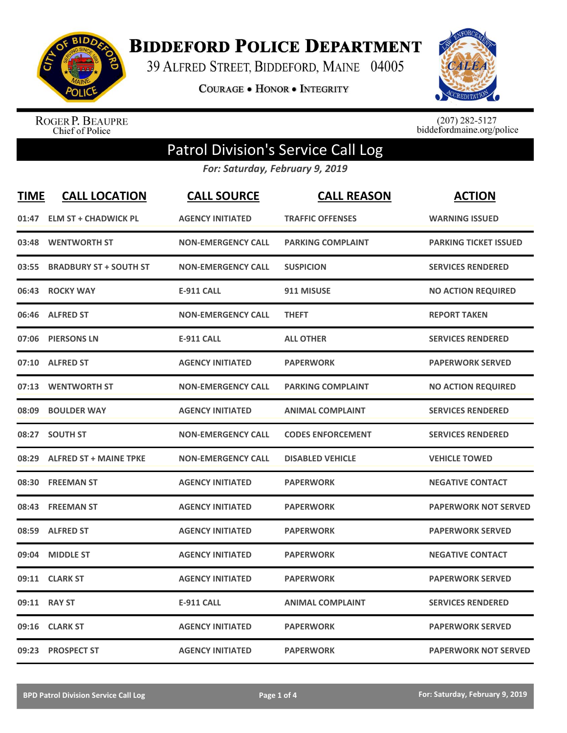

**BIDDEFORD POLICE DEPARTMENT** 

39 ALFRED STREET, BIDDEFORD, MAINE 04005

**COURAGE . HONOR . INTEGRITY** 



ROGER P. BEAUPRE<br>Chief of Police

 $(207)$  282-5127<br>biddefordmaine.org/police

## Patrol Division's Service Call Log

*For: Saturday, February 9, 2019*

| <b>TIME</b> | <b>CALL LOCATION</b>          | <b>CALL SOURCE</b>        | <b>CALL REASON</b>       | <b>ACTION</b>                |
|-------------|-------------------------------|---------------------------|--------------------------|------------------------------|
| 01:47       | <b>ELM ST + CHADWICK PL</b>   | <b>AGENCY INITIATED</b>   | <b>TRAFFIC OFFENSES</b>  | <b>WARNING ISSUED</b>        |
| 03:48       | <b>WENTWORTH ST</b>           | <b>NON-EMERGENCY CALL</b> | <b>PARKING COMPLAINT</b> | <b>PARKING TICKET ISSUED</b> |
| 03:55       | <b>BRADBURY ST + SOUTH ST</b> | <b>NON-EMERGENCY CALL</b> | <b>SUSPICION</b>         | <b>SERVICES RENDERED</b>     |
| 06:43       | <b>ROCKY WAY</b>              | <b>E-911 CALL</b>         | 911 MISUSE               | <b>NO ACTION REQUIRED</b>    |
| 06:46       | <b>ALFRED ST</b>              | <b>NON-EMERGENCY CALL</b> | <b>THEFT</b>             | <b>REPORT TAKEN</b>          |
| 07:06       | <b>PIERSONS LN</b>            | <b>E-911 CALL</b>         | <b>ALL OTHER</b>         | <b>SERVICES RENDERED</b>     |
| 07:10       | <b>ALFRED ST</b>              | <b>AGENCY INITIATED</b>   | <b>PAPERWORK</b>         | <b>PAPERWORK SERVED</b>      |
| 07:13       | <b>WENTWORTH ST</b>           | <b>NON-EMERGENCY CALL</b> | <b>PARKING COMPLAINT</b> | <b>NO ACTION REQUIRED</b>    |
| 08:09       | <b>BOULDER WAY</b>            | <b>AGENCY INITIATED</b>   | <b>ANIMAL COMPLAINT</b>  | <b>SERVICES RENDERED</b>     |
| 08:27       | <b>SOUTH ST</b>               | <b>NON-EMERGENCY CALL</b> | <b>CODES ENFORCEMENT</b> | <b>SERVICES RENDERED</b>     |
| 08:29       | <b>ALFRED ST + MAINE TPKE</b> | <b>NON-EMERGENCY CALL</b> | <b>DISABLED VEHICLE</b>  | <b>VEHICLE TOWED</b>         |
| 08:30       | <b>FREEMAN ST</b>             | <b>AGENCY INITIATED</b>   | <b>PAPERWORK</b>         | <b>NEGATIVE CONTACT</b>      |
| 08:43       | <b>FREEMAN ST</b>             | <b>AGENCY INITIATED</b>   | <b>PAPERWORK</b>         | <b>PAPERWORK NOT SERVED</b>  |
| 08:59       | <b>ALFRED ST</b>              | <b>AGENCY INITIATED</b>   | <b>PAPERWORK</b>         | <b>PAPERWORK SERVED</b>      |
| 09:04       | <b>MIDDLE ST</b>              | <b>AGENCY INITIATED</b>   | <b>PAPERWORK</b>         | <b>NEGATIVE CONTACT</b>      |
| 09:11       | <b>CLARK ST</b>               | <b>AGENCY INITIATED</b>   | <b>PAPERWORK</b>         | <b>PAPERWORK SERVED</b>      |
| 09:11       | <b>RAY ST</b>                 | <b>E-911 CALL</b>         | <b>ANIMAL COMPLAINT</b>  | <b>SERVICES RENDERED</b>     |
| 09:16       | <b>CLARK ST</b>               | <b>AGENCY INITIATED</b>   | <b>PAPERWORK</b>         | <b>PAPERWORK SERVED</b>      |
| 09:23       | <b>PROSPECT ST</b>            | <b>AGENCY INITIATED</b>   | <b>PAPERWORK</b>         | <b>PAPERWORK NOT SERVED</b>  |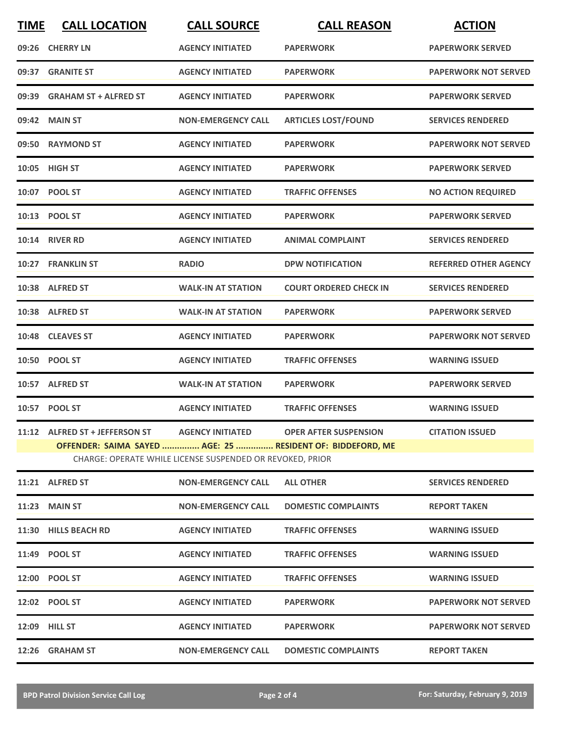| <b>TIME</b> | <b>CALL LOCATION</b>           | <b>CALL SOURCE</b>                                        | <b>CALL REASON</b>                                         | <b>ACTION</b>                |
|-------------|--------------------------------|-----------------------------------------------------------|------------------------------------------------------------|------------------------------|
| 09:26       | <b>CHERRY LN</b>               | <b>AGENCY INITIATED</b>                                   | <b>PAPERWORK</b>                                           | <b>PAPERWORK SERVED</b>      |
| 09:37       | <b>GRANITE ST</b>              | <b>AGENCY INITIATED</b>                                   | <b>PAPERWORK</b>                                           | <b>PAPERWORK NOT SERVED</b>  |
| 09:39       | <b>GRAHAM ST + ALFRED ST</b>   | <b>AGENCY INITIATED</b>                                   | <b>PAPERWORK</b>                                           | <b>PAPERWORK SERVED</b>      |
|             | 09:42 MAIN ST                  | <b>NON-EMERGENCY CALL</b>                                 | <b>ARTICLES LOST/FOUND</b>                                 | <b>SERVICES RENDERED</b>     |
|             | 09:50 RAYMOND ST               | <b>AGENCY INITIATED</b>                                   | <b>PAPERWORK</b>                                           | <b>PAPERWORK NOT SERVED</b>  |
|             | 10:05 HIGH ST                  | <b>AGENCY INITIATED</b>                                   | <b>PAPERWORK</b>                                           | <b>PAPERWORK SERVED</b>      |
|             | 10:07 POOL ST                  | <b>AGENCY INITIATED</b>                                   | <b>TRAFFIC OFFENSES</b>                                    | <b>NO ACTION REQUIRED</b>    |
|             | 10:13 POOL ST                  | <b>AGENCY INITIATED</b>                                   | <b>PAPERWORK</b>                                           | <b>PAPERWORK SERVED</b>      |
|             | <b>10:14 RIVER RD</b>          | <b>AGENCY INITIATED</b>                                   | <b>ANIMAL COMPLAINT</b>                                    | <b>SERVICES RENDERED</b>     |
|             | 10:27 FRANKLIN ST              | <b>RADIO</b>                                              | <b>DPW NOTIFICATION</b>                                    | <b>REFERRED OTHER AGENCY</b> |
|             | 10:38 ALFRED ST                | <b>WALK-IN AT STATION</b>                                 | <b>COURT ORDERED CHECK IN</b>                              | <b>SERVICES RENDERED</b>     |
|             | 10:38 ALFRED ST                | <b>WALK-IN AT STATION</b>                                 | <b>PAPERWORK</b>                                           | <b>PAPERWORK SERVED</b>      |
|             | 10:48 CLEAVES ST               | <b>AGENCY INITIATED</b>                                   | <b>PAPERWORK</b>                                           | <b>PAPERWORK NOT SERVED</b>  |
|             | 10:50 POOL ST                  | <b>AGENCY INITIATED</b>                                   | <b>TRAFFIC OFFENSES</b>                                    | <b>WARNING ISSUED</b>        |
|             | 10:57 ALFRED ST                | <b>WALK-IN AT STATION</b>                                 | <b>PAPERWORK</b>                                           | <b>PAPERWORK SERVED</b>      |
|             | 10:57 POOL ST                  | <b>AGENCY INITIATED</b>                                   | <b>TRAFFIC OFFENSES</b>                                    | <b>WARNING ISSUED</b>        |
|             | 11:12 ALFRED ST + JEFFERSON ST |                                                           | AGENCY INITIATED OPER AFTER SUSPENSION                     | <b>CITATION ISSUED</b>       |
|             |                                | CHARGE: OPERATE WHILE LICENSE SUSPENDED OR REVOKED, PRIOR | OFFENDER: SAIMA SAYED  AGE: 25  RESIDENT OF: BIDDEFORD, ME |                              |
|             | 11:21 ALFRED ST                | <b>NON-EMERGENCY CALL</b>                                 | <b>ALL OTHER</b>                                           | <b>SERVICES RENDERED</b>     |
|             | <b>11:23 MAIN ST</b>           | <b>NON-EMERGENCY CALL</b>                                 | <b>DOMESTIC COMPLAINTS</b>                                 | <b>REPORT TAKEN</b>          |
|             | 11:30 HILLS BEACH RD           | <b>AGENCY INITIATED</b>                                   | <b>TRAFFIC OFFENSES</b>                                    | <b>WARNING ISSUED</b>        |
|             | 11:49 POOL ST                  | <b>AGENCY INITIATED</b>                                   | <b>TRAFFIC OFFENSES</b>                                    | <b>WARNING ISSUED</b>        |
|             | 12:00 POOL ST                  | <b>AGENCY INITIATED</b>                                   | <b>TRAFFIC OFFENSES</b>                                    | <b>WARNING ISSUED</b>        |
|             | 12:02 POOL ST                  | <b>AGENCY INITIATED</b>                                   | <b>PAPERWORK</b>                                           | <b>PAPERWORK NOT SERVED</b>  |
|             | <b>12:09 HILL ST</b>           | <b>AGENCY INITIATED</b>                                   | <b>PAPERWORK</b>                                           | <b>PAPERWORK NOT SERVED</b>  |
|             | 12:26 GRAHAM ST                | <b>NON-EMERGENCY CALL</b>                                 | <b>DOMESTIC COMPLAINTS</b>                                 | <b>REPORT TAKEN</b>          |
|             |                                |                                                           |                                                            |                              |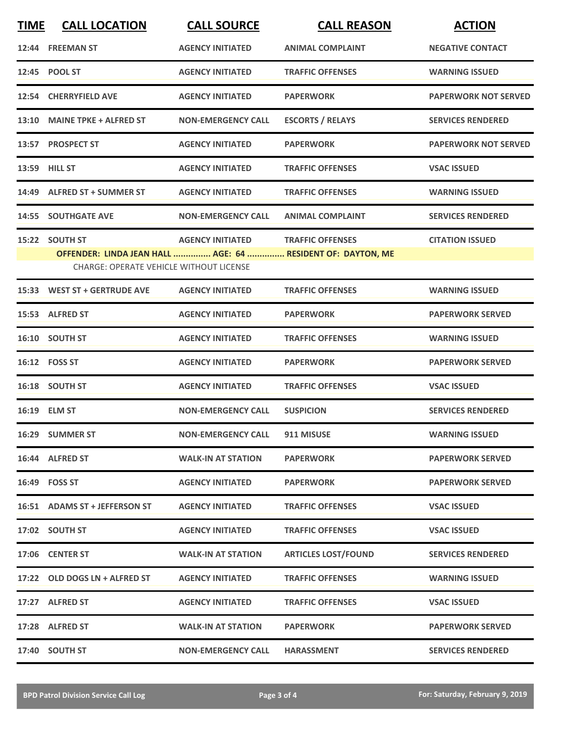| <b>TIME</b> | <b>CALL LOCATION</b>                           | <b>CALL SOURCE</b>        | <b>CALL REASON</b>                                          | <b>ACTION</b>               |
|-------------|------------------------------------------------|---------------------------|-------------------------------------------------------------|-----------------------------|
|             | 12:44 FREEMAN ST                               | <b>AGENCY INITIATED</b>   | <b>ANIMAL COMPLAINT</b>                                     | <b>NEGATIVE CONTACT</b>     |
|             | 12:45 POOL ST                                  | <b>AGENCY INITIATED</b>   | <b>TRAFFIC OFFENSES</b>                                     | <b>WARNING ISSUED</b>       |
|             | 12:54 CHERRYFIELD AVE                          | <b>AGENCY INITIATED</b>   | <b>PAPERWORK</b>                                            | <b>PAPERWORK NOT SERVED</b> |
|             | 13:10 MAINE TPKE + ALFRED ST                   | <b>NON-EMERGENCY CALL</b> | <b>ESCORTS / RELAYS</b>                                     | <b>SERVICES RENDERED</b>    |
|             | 13:57 PROSPECT ST                              | <b>AGENCY INITIATED</b>   | <b>PAPERWORK</b>                                            | <b>PAPERWORK NOT SERVED</b> |
|             | <b>13:59 HILL ST</b>                           | <b>AGENCY INITIATED</b>   | <b>TRAFFIC OFFENSES</b>                                     | <b>VSAC ISSUED</b>          |
|             | 14:49 ALFRED ST + SUMMER ST                    | <b>AGENCY INITIATED</b>   | <b>TRAFFIC OFFENSES</b>                                     | <b>WARNING ISSUED</b>       |
|             | <b>14:55 SOUTHGATE AVE</b>                     | <b>NON-EMERGENCY CALL</b> | <b>ANIMAL COMPLAINT</b>                                     | <b>SERVICES RENDERED</b>    |
| 15:22       | <b>SOUTH ST</b>                                | <b>AGENCY INITIATED</b>   | <b>TRAFFIC OFFENSES</b>                                     | <b>CITATION ISSUED</b>      |
|             | <b>CHARGE: OPERATE VEHICLE WITHOUT LICENSE</b> |                           | OFFENDER: LINDA JEAN HALL  AGE: 64  RESIDENT OF: DAYTON, ME |                             |
|             | 15:33 WEST ST + GERTRUDE AVE                   | <b>AGENCY INITIATED</b>   | <b>TRAFFIC OFFENSES</b>                                     | <b>WARNING ISSUED</b>       |
|             | 15:53 ALFRED ST                                | <b>AGENCY INITIATED</b>   | <b>PAPERWORK</b>                                            | <b>PAPERWORK SERVED</b>     |
|             | 16:10 SOUTH ST                                 | <b>AGENCY INITIATED</b>   | <b>TRAFFIC OFFENSES</b>                                     | <b>WARNING ISSUED</b>       |
|             | 16:12    FOSS ST                               | <b>AGENCY INITIATED</b>   | <b>PAPERWORK</b>                                            | <b>PAPERWORK SERVED</b>     |
|             | 16:18 SOUTH ST                                 | <b>AGENCY INITIATED</b>   | <b>TRAFFIC OFFENSES</b>                                     | <b>VSAC ISSUED</b>          |
|             | 16:19 ELM ST                                   | <b>NON-EMERGENCY CALL</b> | <b>SUSPICION</b>                                            | <b>SERVICES RENDERED</b>    |
|             | 16:29 SUMMER ST                                | <b>NON-EMERGENCY CALL</b> | 911 MISUSE                                                  | <b>WARNING ISSUED</b>       |
|             | 16:44 ALFRED ST                                | <b>WALK-IN AT STATION</b> | <b>PAPERWORK</b>                                            | <b>PAPERWORK SERVED</b>     |
|             | 16:49    FOSS ST                               | <b>AGENCY INITIATED</b>   | <b>PAPERWORK</b>                                            | <b>PAPERWORK SERVED</b>     |
|             | 16:51 ADAMS ST + JEFFERSON ST                  | <b>AGENCY INITIATED</b>   | <b>TRAFFIC OFFENSES</b>                                     | <b>VSAC ISSUED</b>          |
|             | 17:02 SOUTH ST                                 | <b>AGENCY INITIATED</b>   | <b>TRAFFIC OFFENSES</b>                                     | <b>VSAC ISSUED</b>          |
|             | 17:06 CENTER ST                                | <b>WALK-IN AT STATION</b> | <b>ARTICLES LOST/FOUND</b>                                  | <b>SERVICES RENDERED</b>    |
|             | 17:22 OLD DOGS LN + ALFRED ST                  | <b>AGENCY INITIATED</b>   | <b>TRAFFIC OFFENSES</b>                                     | <b>WARNING ISSUED</b>       |
|             | 17:27 ALFRED ST                                | <b>AGENCY INITIATED</b>   | <b>TRAFFIC OFFENSES</b>                                     | <b>VSAC ISSUED</b>          |
|             | 17:28 ALFRED ST                                | <b>WALK-IN AT STATION</b> | <b>PAPERWORK</b>                                            | <b>PAPERWORK SERVED</b>     |
|             | 17:40 SOUTH ST                                 | <b>NON-EMERGENCY CALL</b> | <b>HARASSMENT</b>                                           | <b>SERVICES RENDERED</b>    |